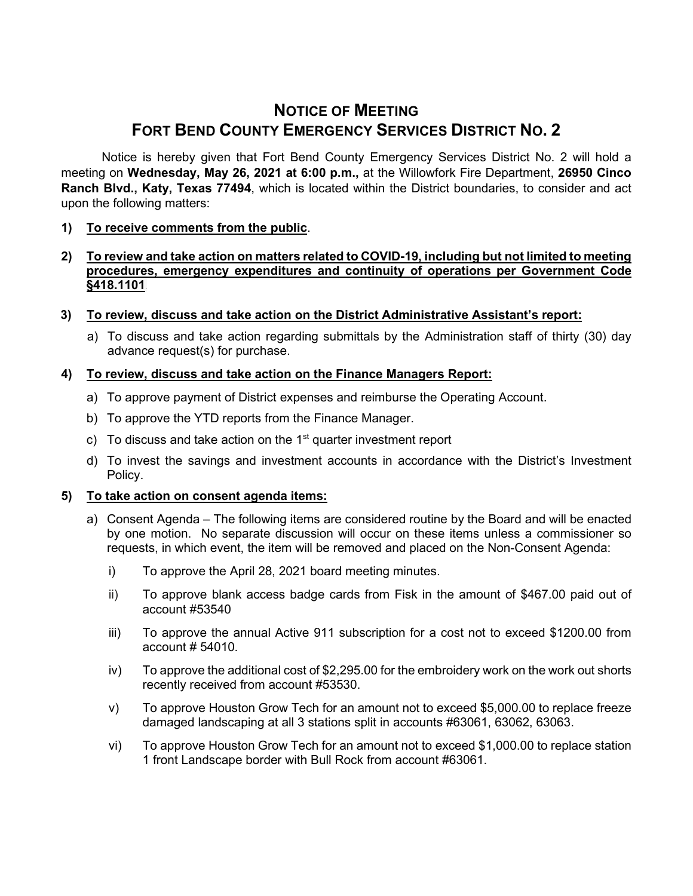# **NOTICE OF MEETING FORT BEND COUNTY EMERGENCY SERVICES DISTRICT NO. 2**

Notice is hereby given that Fort Bend County Emergency Services District No. 2 will hold a meeting on **Wednesday, May 26, 2021 at 6:00 p.m.,** at the Willowfork Fire Department, **26950 Cinco Ranch Blvd., Katy, Texas 77494**, which is located within the District boundaries, to consider and act upon the following matters:

# **1) To receive comments from the public**.

## **2) To review and take action on matters related to COVID-19, including but not limited to meeting procedures, emergency expenditures and continuity of operations per Government Code §418.1101**.

- **3) To review, discuss and take action on the District Administrative Assistant's report:**
	- a) To discuss and take action regarding submittals by the Administration staff of thirty (30) day advance request(s) for purchase.

## **4) To review, discuss and take action on the Finance Managers Report:**

- a) To approve payment of District expenses and reimburse the Operating Account.
- b) To approve the YTD reports from the Finance Manager.
- c) To discuss and take action on the  $1<sup>st</sup>$  quarter investment report
- d) To invest the savings and investment accounts in accordance with the District's Investment Policy.

#### **5) To take action on consent agenda items:**

- a) Consent Agenda The following items are considered routine by the Board and will be enacted by one motion. No separate discussion will occur on these items unless a commissioner so requests, in which event, the item will be removed and placed on the Non-Consent Agenda:
	- i) To approve the April 28, 2021 board meeting minutes.
	- ii) To approve blank access badge cards from Fisk in the amount of \$467.00 paid out of account #53540
	- iii) To approve the annual Active 911 subscription for a cost not to exceed \$1200.00 from account # 54010.
	- iv) To approve the additional cost of \$2,295.00 for the embroidery work on the work out shorts recently received from account #53530.
	- v) To approve Houston Grow Tech for an amount not to exceed \$5,000.00 to replace freeze damaged landscaping at all 3 stations split in accounts #63061, 63062, 63063.
	- vi) To approve Houston Grow Tech for an amount not to exceed \$1,000.00 to replace station 1 front Landscape border with Bull Rock from account #63061.